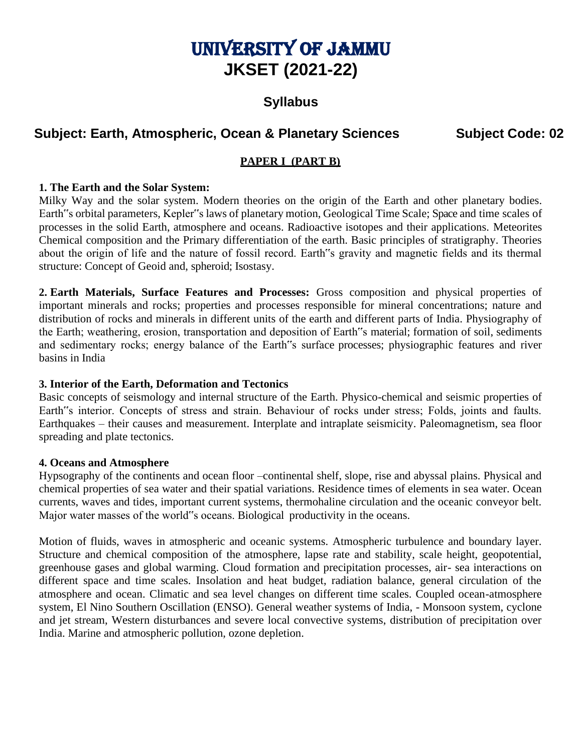# UNIVERSITY OF JAMMU **JKSET (2021-22)**

# **Syllabus**

# **Subject: Earth, Atmospheric, Ocean & Planetary Sciences Subject Code: 02**

# **PAPER I (PART B)**

#### **1. The Earth and the Solar System:**

Milky Way and the solar system. Modern theories on the origin of the Earth and other planetary bodies. Earth"s orbital parameters, Kepler"s laws of planetary motion, Geological Time Scale; Space and time scales of processes in the solid Earth, atmosphere and oceans. Radioactive isotopes and their applications. Meteorites Chemical composition and the Primary differentiation of the earth. Basic principles of stratigraphy. Theories about the origin of life and the nature of fossil record. Earth"s gravity and magnetic fields and its thermal structure: Concept of Geoid and, spheroid; Isostasy.

**2. Earth Materials, Surface Features and Processes:** Gross composition and physical properties of important minerals and rocks; properties and processes responsible for mineral concentrations; nature and distribution of rocks and minerals in different units of the earth and different parts of India. Physiography of the Earth; weathering, erosion, transportation and deposition of Earth"s material; formation of soil, sediments and sedimentary rocks; energy balance of the Earth"s surface processes; physiographic features and river basins in India

#### **3. Interior of the Earth, Deformation and Tectonics**

Basic concepts of seismology and internal structure of the Earth. Physico-chemical and seismic properties of Earth"s interior. Concepts of stress and strain. Behaviour of rocks under stress; Folds, joints and faults. Earthquakes – their causes and measurement. Interplate and intraplate seismicity. Paleomagnetism, sea floor spreading and plate tectonics.

#### **4. Oceans and Atmosphere**

Hypsography of the continents and ocean floor –continental shelf, slope, rise and abyssal plains. Physical and chemical properties of sea water and their spatial variations. Residence times of elements in sea water. Ocean currents, waves and tides, important current systems, thermohaline circulation and the oceanic conveyor belt. Major water masses of the world"s oceans. Biological productivity in the oceans.

Motion of fluids, waves in atmospheric and oceanic systems. Atmospheric turbulence and boundary layer. Structure and chemical composition of the atmosphere, lapse rate and stability, scale height, geopotential, greenhouse gases and global warming. Cloud formation and precipitation processes, air- sea interactions on different space and time scales. Insolation and heat budget, radiation balance, general circulation of the atmosphere and ocean. Climatic and sea level changes on different time scales. Coupled ocean-atmosphere system, El Nino Southern Oscillation (ENSO). General weather systems of India, - Monsoon system, cyclone and jet stream, Western disturbances and severe local convective systems, distribution of precipitation over India. Marine and atmospheric pollution, ozone depletion.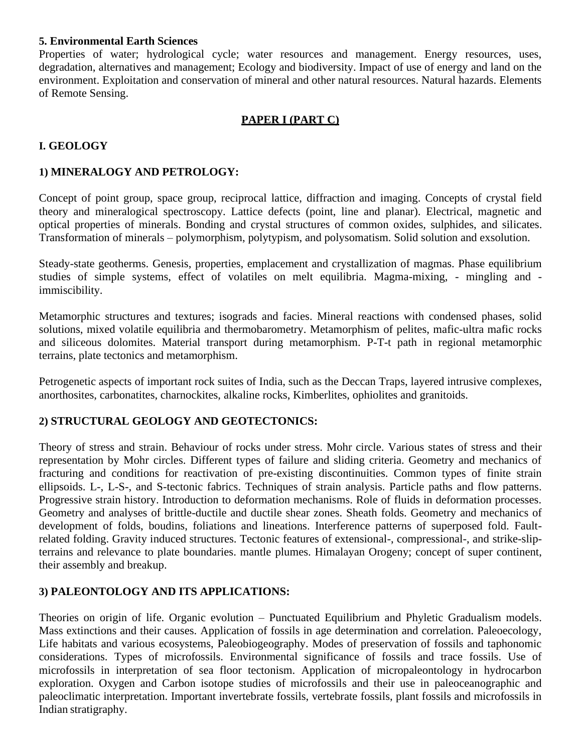#### **5. Environmental Earth Sciences**

Properties of water; hydrological cycle; water resources and management. Energy resources, uses, degradation, alternatives and management; Ecology and biodiversity. Impact of use of energy and land on the environment. Exploitation and conservation of mineral and other natural resources. Natural hazards. Elements of Remote Sensing.

## **PAPER I (PART C)**

## **I. GEOLOGY**

#### **1) MINERALOGY AND PETROLOGY:**

Concept of point group, space group, reciprocal lattice, diffraction and imaging. Concepts of crystal field theory and mineralogical spectroscopy. Lattice defects (point, line and planar). Electrical, magnetic and optical properties of minerals. Bonding and crystal structures of common oxides, sulphides, and silicates. Transformation of minerals – polymorphism, polytypism, and polysomatism. Solid solution and exsolution.

Steady-state geotherms. Genesis, properties, emplacement and crystallization of magmas. Phase equilibrium studies of simple systems, effect of volatiles on melt equilibria. Magma-mixing, - mingling and immiscibility.

Metamorphic structures and textures; isograds and facies. Mineral reactions with condensed phases, solid solutions, mixed volatile equilibria and thermobarometry. Metamorphism of pelites, mafic-ultra mafic rocks and siliceous dolomites. Material transport during metamorphism. P-T-t path in regional metamorphic terrains, plate tectonics and metamorphism.

Petrogenetic aspects of important rock suites of India, such as the Deccan Traps, layered intrusive complexes, anorthosites, carbonatites, charnockites, alkaline rocks, Kimberlites, ophiolites and granitoids.

#### **2) STRUCTURAL GEOLOGY AND GEOTECTONICS:**

Theory of stress and strain. Behaviour of rocks under stress. Mohr circle. Various states of stress and their representation by Mohr circles. Different types of failure and sliding criteria. Geometry and mechanics of fracturing and conditions for reactivation of pre-existing discontinuities. Common types of finite strain ellipsoids. L-, L-S-, and S-tectonic fabrics. Techniques of strain analysis. Particle paths and flow patterns. Progressive strain history. Introduction to deformation mechanisms. Role of fluids in deformation processes. Geometry and analyses of brittle-ductile and ductile shear zones. Sheath folds. Geometry and mechanics of development of folds, boudins, foliations and lineations. Interference patterns of superposed fold. Faultrelated folding. Gravity induced structures. Tectonic features of extensional-, compressional-, and strike-slipterrains and relevance to plate boundaries. mantle plumes. Himalayan Orogeny; concept of super continent, their assembly and breakup.

#### **3) PALEONTOLOGY AND ITS APPLICATIONS:**

Theories on origin of life. Organic evolution – Punctuated Equilibrium and Phyletic Gradualism models. Mass extinctions and their causes. Application of fossils in age determination and correlation. Paleoecology, Life habitats and various ecosystems, Paleobiogeography. Modes of preservation of fossils and taphonomic considerations. Types of microfossils. Environmental significance of fossils and trace fossils. Use of microfossils in interpretation of sea floor tectonism. Application of micropaleontology in hydrocarbon exploration. Oxygen and Carbon isotope studies of microfossils and their use in paleoceanographic and paleoclimatic interpretation. Important invertebrate fossils, vertebrate fossils, plant fossils and microfossils in Indian stratigraphy.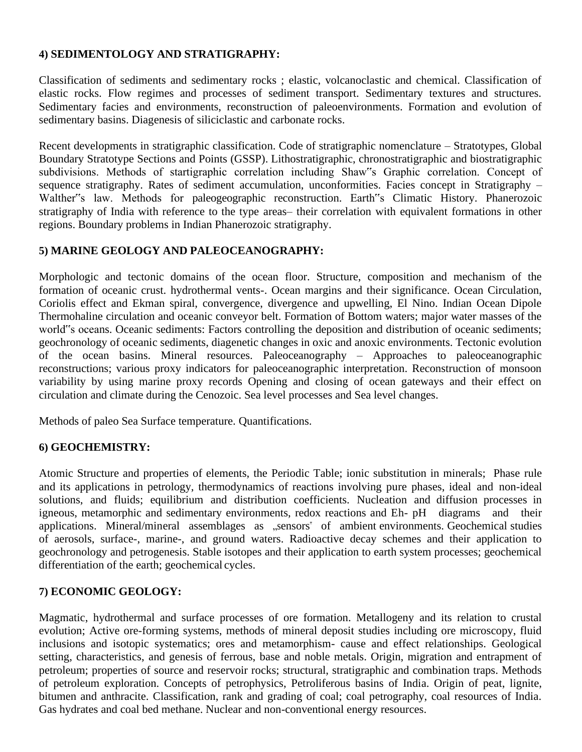#### **4) SEDIMENTOLOGY AND STRATIGRAPHY:**

Classification of sediments and sedimentary rocks ; elastic, volcanoclastic and chemical. Classification of elastic rocks. Flow regimes and processes of sediment transport. Sedimentary textures and structures. Sedimentary facies and environments, reconstruction of paleoenvironments. Formation and evolution of sedimentary basins. Diagenesis of siliciclastic and carbonate rocks.

Recent developments in stratigraphic classification. Code of stratigraphic nomenclature – Stratotypes, Global Boundary Stratotype Sections and Points (GSSP). Lithostratigraphic, chronostratigraphic and biostratigraphic subdivisions. Methods of startigraphic correlation including Shaw"s Graphic correlation. Concept of sequence stratigraphy. Rates of sediment accumulation, unconformities. Facies concept in Stratigraphy – Walther"s law. Methods for paleogeographic reconstruction. Earth"s Climatic History. Phanerozoic stratigraphy of India with reference to the type areas– their correlation with equivalent formations in other regions. Boundary problems in Indian Phanerozoic stratigraphy.

#### **5) MARINE GEOLOGY AND PALEOCEANOGRAPHY:**

Morphologic and tectonic domains of the ocean floor. Structure, composition and mechanism of the formation of oceanic crust. hydrothermal vents-. Ocean margins and their significance. Ocean Circulation, Coriolis effect and Ekman spiral, convergence, divergence and upwelling, El Nino. Indian Ocean Dipole Thermohaline circulation and oceanic conveyor belt. Formation of Bottom waters; major water masses of the world"s oceans. Oceanic sediments: Factors controlling the deposition and distribution of oceanic sediments; geochronology of oceanic sediments, diagenetic changes in oxic and anoxic environments. Tectonic evolution of the ocean basins. Mineral resources. Paleoceanography – Approaches to paleoceanographic reconstructions; various proxy indicators for paleoceanographic interpretation. Reconstruction of monsoon variability by using marine proxy records Opening and closing of ocean gateways and their effect on circulation and climate during the Cenozoic. Sea level processes and Sea level changes.

Methods of paleo Sea Surface temperature. Quantifications.

#### **6) GEOCHEMISTRY:**

Atomic Structure and properties of elements, the Periodic Table; ionic substitution in minerals; Phase rule and its applications in petrology, thermodynamics of reactions involving pure phases, ideal and non-ideal solutions, and fluids; equilibrium and distribution coefficients. Nucleation and diffusion processes in igneous, metamorphic and sedimentary environments, redox reactions and Eh- pH diagrams and their applications. Mineral/mineral assemblages as "sensors" of ambient environments. Geochemical studies of aerosols, surface-, marine-, and ground waters. Radioactive decay schemes and their application to geochronology and petrogenesis. Stable isotopes and their application to earth system processes; geochemical differentiation of the earth; geochemical cycles.

#### **7) ECONOMIC GEOLOGY:**

Magmatic, hydrothermal and surface processes of ore formation. Metallogeny and its relation to crustal evolution; Active ore-forming systems, methods of mineral deposit studies including ore microscopy, fluid inclusions and isotopic systematics; ores and metamorphism- cause and effect relationships. Geological setting, characteristics, and genesis of ferrous, base and noble metals. Origin, migration and entrapment of petroleum; properties of source and reservoir rocks; structural, stratigraphic and combination traps. Methods of petroleum exploration. Concepts of petrophysics, Petroliferous basins of India. Origin of peat, lignite, bitumen and anthracite. Classification, rank and grading of coal; coal petrography, coal resources of India. Gas hydrates and coal bed methane. Nuclear and non-conventional energy resources.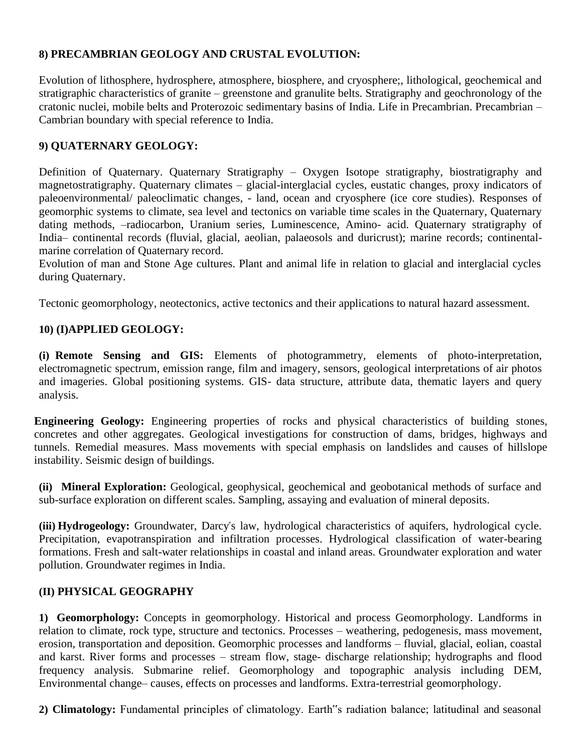# **8) PRECAMBRIAN GEOLOGY AND CRUSTAL EVOLUTION:**

Evolution of lithosphere, hydrosphere, atmosphere, biosphere, and cryosphere;, lithological, geochemical and stratigraphic characteristics of granite – greenstone and granulite belts. Stratigraphy and geochronology of the cratonic nuclei, mobile belts and Proterozoic sedimentary basins of India. Life in Precambrian. Precambrian – Cambrian boundary with special reference to India.

# **9) QUATERNARY GEOLOGY:**

Definition of Quaternary. Quaternary Stratigraphy – Oxygen Isotope stratigraphy, biostratigraphy and magnetostratigraphy. Quaternary climates – glacial-interglacial cycles, eustatic changes, proxy indicators of paleoenvironmental/ paleoclimatic changes, - land, ocean and cryosphere (ice core studies). Responses of geomorphic systems to climate, sea level and tectonics on variable time scales in the Quaternary, Quaternary dating methods, –radiocarbon, Uranium series, Luminescence, Amino- acid. Quaternary stratigraphy of India– continental records (fluvial, glacial, aeolian, palaeosols and duricrust); marine records; continentalmarine correlation of Quaternary record.

Evolution of man and Stone Age cultures. Plant and animal life in relation to glacial and interglacial cycles during Quaternary.

Tectonic geomorphology, neotectonics, active tectonics and their applications to natural hazard assessment.

# **10) (I)APPLIED GEOLOGY:**

**(i) Remote Sensing and GIS:** Elements of photogrammetry, elements of photo-interpretation, electromagnetic spectrum, emission range, film and imagery, sensors, geological interpretations of air photos and imageries. Global positioning systems. GIS- data structure, attribute data, thematic layers and query analysis.

**Engineering Geology:** Engineering properties of rocks and physical characteristics of building stones, concretes and other aggregates. Geological investigations for construction of dams, bridges, highways and tunnels. Remedial measures. Mass movements with special emphasis on landslides and causes of hillslope instability. Seismic design of buildings.

**(ii) Mineral Exploration:** Geological, geophysical, geochemical and geobotanical methods of surface and sub-surface exploration on different scales. Sampling, assaying and evaluation of mineral deposits.

**(iii) Hydrogeology:** Groundwater, Darcy"s law, hydrological characteristics of aquifers, hydrological cycle. Precipitation, evapotranspiration and infiltration processes. Hydrological classification of water-bearing formations. Fresh and salt-water relationships in coastal and inland areas. Groundwater exploration and water pollution. Groundwater regimes in India.

#### **(II) PHYSICAL GEOGRAPHY**

**1) Geomorphology:** Concepts in geomorphology. Historical and process Geomorphology. Landforms in relation to climate, rock type, structure and tectonics. Processes – weathering, pedogenesis, mass movement, erosion, transportation and deposition. Geomorphic processes and landforms – fluvial, glacial, eolian, coastal and karst. River forms and processes – stream flow, stage- discharge relationship; hydrographs and flood frequency analysis. Submarine relief. Geomorphology and topographic analysis including DEM, Environmental change– causes, effects on processes and landforms. Extra-terrestrial geomorphology.

**2) Climatology:** Fundamental principles of climatology. Earth"s radiation balance; latitudinal and seasonal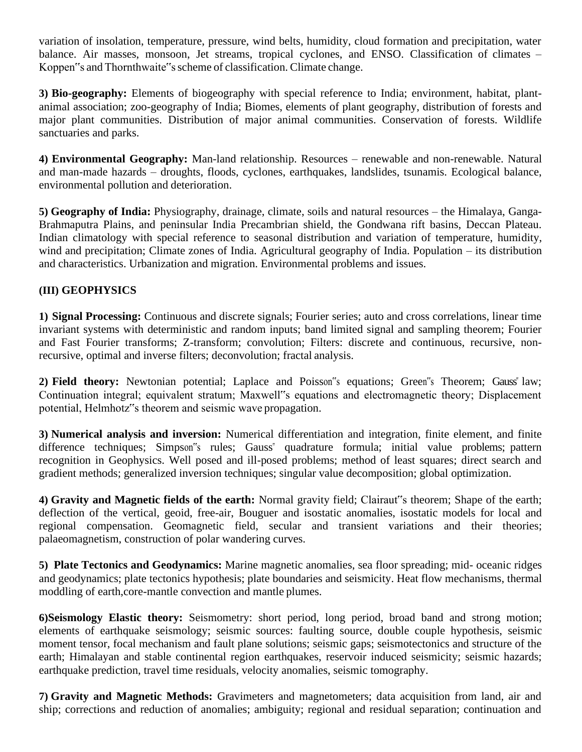variation of insolation, temperature, pressure, wind belts, humidity, cloud formation and precipitation, water balance. Air masses, monsoon, Jet streams, tropical cyclones, and ENSO. Classification of climates – Koppen"s and Thornthwaite"sscheme of classification. Climate change.

**3) Bio-geography:** Elements of biogeography with special reference to India; environment, habitat, plantanimal association; zoo-geography of India; Biomes, elements of plant geography, distribution of forests and major plant communities. Distribution of major animal communities. Conservation of forests. Wildlife sanctuaries and parks.

**4) Environmental Geography:** Man-land relationship. Resources – renewable and non-renewable. Natural and man-made hazards – droughts, floods, cyclones, earthquakes, landslides, tsunamis. Ecological balance, environmental pollution and deterioration.

**5) Geography of India:** Physiography, drainage, climate, soils and natural resources – the Himalaya, Ganga-Brahmaputra Plains, and peninsular India Precambrian shield, the Gondwana rift basins, Deccan Plateau. Indian climatology with special reference to seasonal distribution and variation of temperature, humidity, wind and precipitation; Climate zones of India. Agricultural geography of India. Population – its distribution and characteristics. Urbanization and migration. Environmental problems and issues.

# **(III) GEOPHYSICS**

**1) Signal Processing:** Continuous and discrete signals; Fourier series; auto and cross correlations, linear time invariant systems with deterministic and random inputs; band limited signal and sampling theorem; Fourier and Fast Fourier transforms; Z-transform; convolution; Filters: discrete and continuous, recursive, nonrecursive, optimal and inverse filters; deconvolution; fractal analysis.

**2) Field theory:** Newtonian potential; Laplace and Poisson"s equations; Green"s Theorem; Gauss" law; Continuation integral; equivalent stratum; Maxwell"s equations and electromagnetic theory; Displacement potential, Helmhotz"s theorem and seismic wave propagation.

**3) Numerical analysis and inversion:** Numerical differentiation and integration, finite element, and finite difference techniques; Simpson"s rules; Gauss" quadrature formula; initial value problems; pattern recognition in Geophysics. Well posed and ill-posed problems; method of least squares; direct search and gradient methods; generalized inversion techniques; singular value decomposition; global optimization.

**4) Gravity and Magnetic fields of the earth:** Normal gravity field; Clairaut"s theorem; Shape of the earth; deflection of the vertical, geoid, free-air, Bouguer and isostatic anomalies, isostatic models for local and regional compensation. Geomagnetic field, secular and transient variations and their theories; palaeomagnetism, construction of polar wandering curves.

**5) Plate Tectonics and Geodynamics:** Marine magnetic anomalies, sea floor spreading; mid- oceanic ridges and geodynamics; plate tectonics hypothesis; plate boundaries and seismicity. Heat flow mechanisms, thermal moddling of earth,core-mantle convection and mantle plumes.

**6)Seismology Elastic theory:** Seismometry: short period, long period, broad band and strong motion; elements of earthquake seismology; seismic sources: faulting source, double couple hypothesis, seismic moment tensor, focal mechanism and fault plane solutions; seismic gaps; seismotectonics and structure of the earth; Himalayan and stable continental region earthquakes, reservoir induced seismicity; seismic hazards; earthquake prediction, travel time residuals, velocity anomalies, seismic tomography.

**7) Gravity and Magnetic Methods:** Gravimeters and magnetometers; data acquisition from land, air and ship; corrections and reduction of anomalies; ambiguity; regional and residual separation; continuation and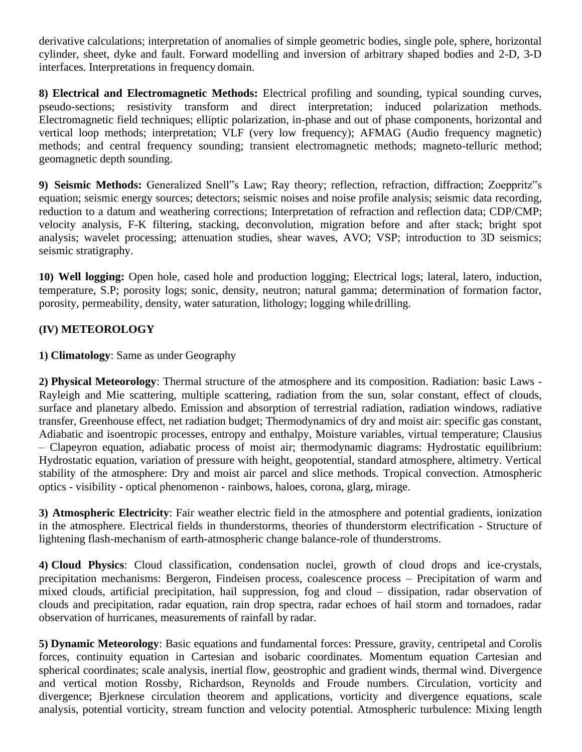derivative calculations; interpretation of anomalies of simple geometric bodies, single pole, sphere, horizontal cylinder, sheet, dyke and fault. Forward modelling and inversion of arbitrary shaped bodies and 2-D, 3-D interfaces. Interpretations in frequency domain.

**8) Electrical and Electromagnetic Methods:** Electrical profiling and sounding, typical sounding curves, pseudo-sections; resistivity transform and direct interpretation; induced polarization methods. Electromagnetic field techniques; elliptic polarization, in-phase and out of phase components, horizontal and vertical loop methods; interpretation; VLF (very low frequency); AFMAG (Audio frequency magnetic) methods; and central frequency sounding; transient electromagnetic methods; magneto-telluric method; geomagnetic depth sounding.

**9) Seismic Methods:** Generalized Snell"s Law; Ray theory; reflection, refraction, diffraction; Zoeppritz"s equation; seismic energy sources; detectors; seismic noises and noise profile analysis; seismic data recording, reduction to a datum and weathering corrections; Interpretation of refraction and reflection data; CDP/CMP; velocity analysis, F-K filtering, stacking, deconvolution, migration before and after stack; bright spot analysis; wavelet processing; attenuation studies, shear waves, AVO; VSP; introduction to 3D seismics; seismic stratigraphy.

**10) Well logging:** Open hole, cased hole and production logging; Electrical logs; lateral, latero, induction, temperature, S.P; porosity logs; sonic, density, neutron; natural gamma; determination of formation factor, porosity, permeability, density, water saturation, lithology; logging while drilling.

# **(IV) METEOROLOGY**

#### **1) Climatology**: Same as under Geography

**2) Physical Meteorology**: Thermal structure of the atmosphere and its composition. Radiation: basic Laws - Rayleigh and Mie scattering, multiple scattering, radiation from the sun, solar constant, effect of clouds, surface and planetary albedo. Emission and absorption of terrestrial radiation, radiation windows, radiative transfer, Greenhouse effect, net radiation budget; Thermodynamics of dry and moist air: specific gas constant, Adiabatic and isoentropic processes, entropy and enthalpy, Moisture variables, virtual temperature; Clausius – Clapeyron equation, adiabatic process of moist air; thermodynamic diagrams: Hydrostatic equilibrium: Hydrostatic equation, variation of pressure with height, geopotential, standard atmosphere, altimetry. Vertical stability of the atmosphere: Dry and moist air parcel and slice methods. Tropical convection. Atmospheric optics - visibility - optical phenomenon - rainbows, haloes, corona, glarg, mirage.

**3) Atmospheric Electricity**: Fair weather electric field in the atmosphere and potential gradients, ionization in the atmosphere. Electrical fields in thunderstorms, theories of thunderstorm electrification - Structure of lightening flash-mechanism of earth-atmospheric change balance-role of thunderstroms.

**4) Cloud Physics**: Cloud classification, condensation nuclei, growth of cloud drops and ice-crystals, precipitation mechanisms: Bergeron, Findeisen process, coalescence process – Precipitation of warm and mixed clouds, artificial precipitation, hail suppression, fog and cloud – dissipation, radar observation of clouds and precipitation, radar equation, rain drop spectra, radar echoes of hail storm and tornadoes, radar observation of hurricanes, measurements of rainfall by radar.

**5) Dynamic Meteorology**: Basic equations and fundamental forces: Pressure, gravity, centripetal and Corolis forces, continuity equation in Cartesian and isobaric coordinates. Momentum equation Cartesian and spherical coordinates; scale analysis, inertial flow, geostrophic and gradient winds, thermal wind. Divergence and vertical motion Rossby, Richardson, Reynolds and Froude numbers. Circulation, vorticity and divergence; Bjerknese circulation theorem and applications, vorticity and divergence equations, scale analysis, potential vorticity, stream function and velocity potential. Atmospheric turbulence: Mixing length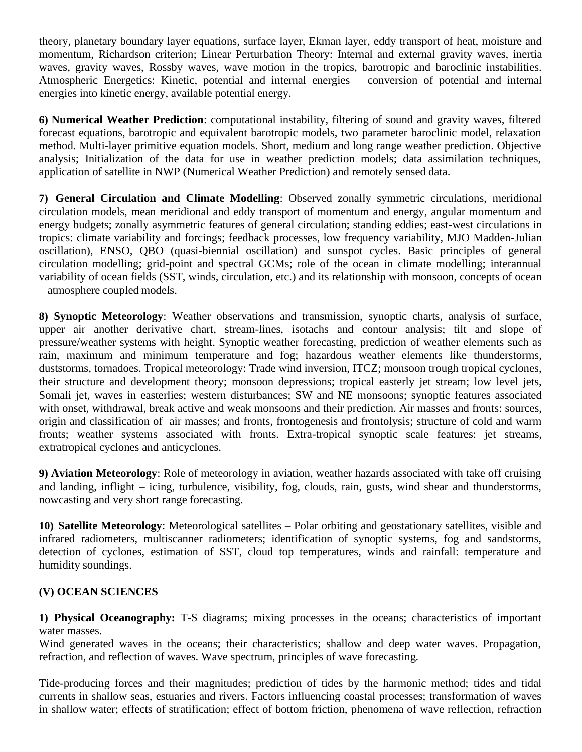theory, planetary boundary layer equations, surface layer, Ekman layer, eddy transport of heat, moisture and momentum, Richardson criterion; Linear Perturbation Theory: Internal and external gravity waves, inertia waves, gravity waves, Rossby waves, wave motion in the tropics, barotropic and baroclinic instabilities. Atmospheric Energetics: Kinetic, potential and internal energies – conversion of potential and internal energies into kinetic energy, available potential energy.

**6) Numerical Weather Prediction**: computational instability, filtering of sound and gravity waves, filtered forecast equations, barotropic and equivalent barotropic models, two parameter baroclinic model, relaxation method. Multi-layer primitive equation models. Short, medium and long range weather prediction. Objective analysis; Initialization of the data for use in weather prediction models; data assimilation techniques, application of satellite in NWP (Numerical Weather Prediction) and remotely sensed data.

**7) General Circulation and Climate Modelling**: Observed zonally symmetric circulations, meridional circulation models, mean meridional and eddy transport of momentum and energy, angular momentum and energy budgets; zonally asymmetric features of general circulation; standing eddies; east-west circulations in tropics: climate variability and forcings; feedback processes, low frequency variability, MJO Madden-Julian oscillation), ENSO, QBO (quasi-biennial oscillation) and sunspot cycles. Basic principles of general circulation modelling; grid-point and spectral GCMs; role of the ocean in climate modelling; interannual variability of ocean fields (SST, winds, circulation, etc.) and its relationship with monsoon, concepts of ocean – atmosphere coupled models.

**8) Synoptic Meteorology**: Weather observations and transmission, synoptic charts, analysis of surface, upper air another derivative chart, stream-lines, isotachs and contour analysis; tilt and slope of pressure/weather systems with height. Synoptic weather forecasting, prediction of weather elements such as rain, maximum and minimum temperature and fog; hazardous weather elements like thunderstorms, duststorms, tornadoes. Tropical meteorology: Trade wind inversion, ITCZ; monsoon trough tropical cyclones, their structure and development theory; monsoon depressions; tropical easterly jet stream; low level jets, Somali jet, waves in easterlies; western disturbances; SW and NE monsoons; synoptic features associated with onset, withdrawal, break active and weak monsoons and their prediction. Air masses and fronts: sources, origin and classification of air masses; and fronts, frontogenesis and frontolysis; structure of cold and warm fronts; weather systems associated with fronts. Extra-tropical synoptic scale features: jet streams, extratropical cyclones and anticyclones.

**9) Aviation Meteorology**: Role of meteorology in aviation, weather hazards associated with take off cruising and landing, inflight – icing, turbulence, visibility, fog, clouds, rain, gusts, wind shear and thunderstorms, nowcasting and very short range forecasting.

**10) Satellite Meteorology**: Meteorological satellites – Polar orbiting and geostationary satellites, visible and infrared radiometers, multiscanner radiometers; identification of synoptic systems, fog and sandstorms, detection of cyclones, estimation of SST, cloud top temperatures, winds and rainfall: temperature and humidity soundings.

#### **(V) OCEAN SCIENCES**

**1) Physical Oceanography:** T-S diagrams; mixing processes in the oceans; characteristics of important water masses.

Wind generated waves in the oceans; their characteristics; shallow and deep water waves. Propagation, refraction, and reflection of waves. Wave spectrum, principles of wave forecasting*.*

Tide-producing forces and their magnitudes; prediction of tides by the harmonic method; tides and tidal currents in shallow seas, estuaries and rivers. Factors influencing coastal processes; transformation of waves in shallow water; effects of stratification; effect of bottom friction, phenomena of wave reflection, refraction